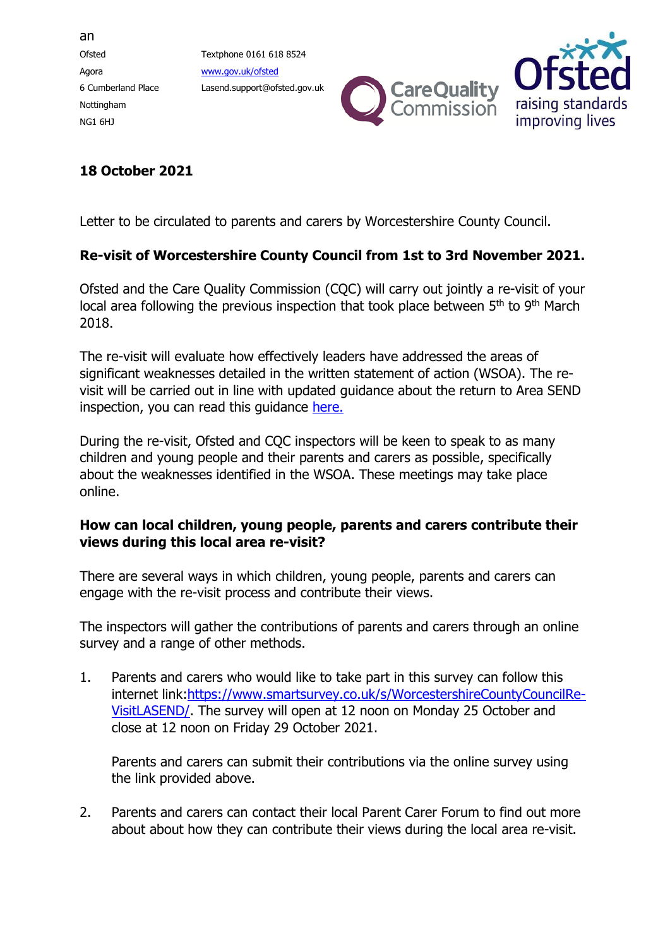an Ofsted Textphone 0161 618 8524 Agora [www.gov.uk/ofsted](http://www.gov.uk/ofsted) Nottingham NG1 6HJ

6 Cumberland Place Lasend.support@ofsted.gov.uk





## **18 October 2021**

Letter to be circulated to parents and carers by Worcestershire County Council.

## **Re-visit of Worcestershire County Council from 1st to 3rd November 2021.**

Ofsted and the Care Quality Commission (CQC) will carry out jointly a re-visit of your local area following the previous inspection that took place between 5<sup>th</sup> to 9<sup>th</sup> March 2018.

The re-visit will evaluate how effectively leaders have addressed the areas of significant weaknesses detailed in the written statement of action (WSOA). The revisit will be carried out in line with updated guidance about the return to Area SEND inspection, you can read this guidance [here.](https://www.gov.uk/government/publications/local-area-send-inspection-guidance-for-inspectors)

During the re-visit, Ofsted and CQC inspectors will be keen to speak to as many children and young people and their parents and carers as possible, specifically about the weaknesses identified in the WSOA. These meetings may take place online.

## **How can local children, young people, parents and carers contribute their views during this local area re-visit?**

There are several ways in which children, young people, parents and carers can engage with the re-visit process and contribute their views.

The inspectors will gather the contributions of parents and carers through an online survey and a range of other methods.

1. Parents and carers who would like to take part in this survey can follow this internet link[:https://www.smartsurvey.co.uk/s/WorcestershireCountyCouncilRe-](https://www.smartsurvey.co.uk/s/WorcestershireCountyCouncilRe-VisitLASEND/)[VisitLASEND/.](https://www.smartsurvey.co.uk/s/WorcestershireCountyCouncilRe-VisitLASEND/) The survey will open at 12 noon on Monday 25 October and close at 12 noon on Friday 29 October 2021.

Parents and carers can submit their contributions via the online survey using the link provided above.

2. Parents and carers can contact their local Parent Carer Forum to find out more about about how they can contribute their views during the local area re-visit.